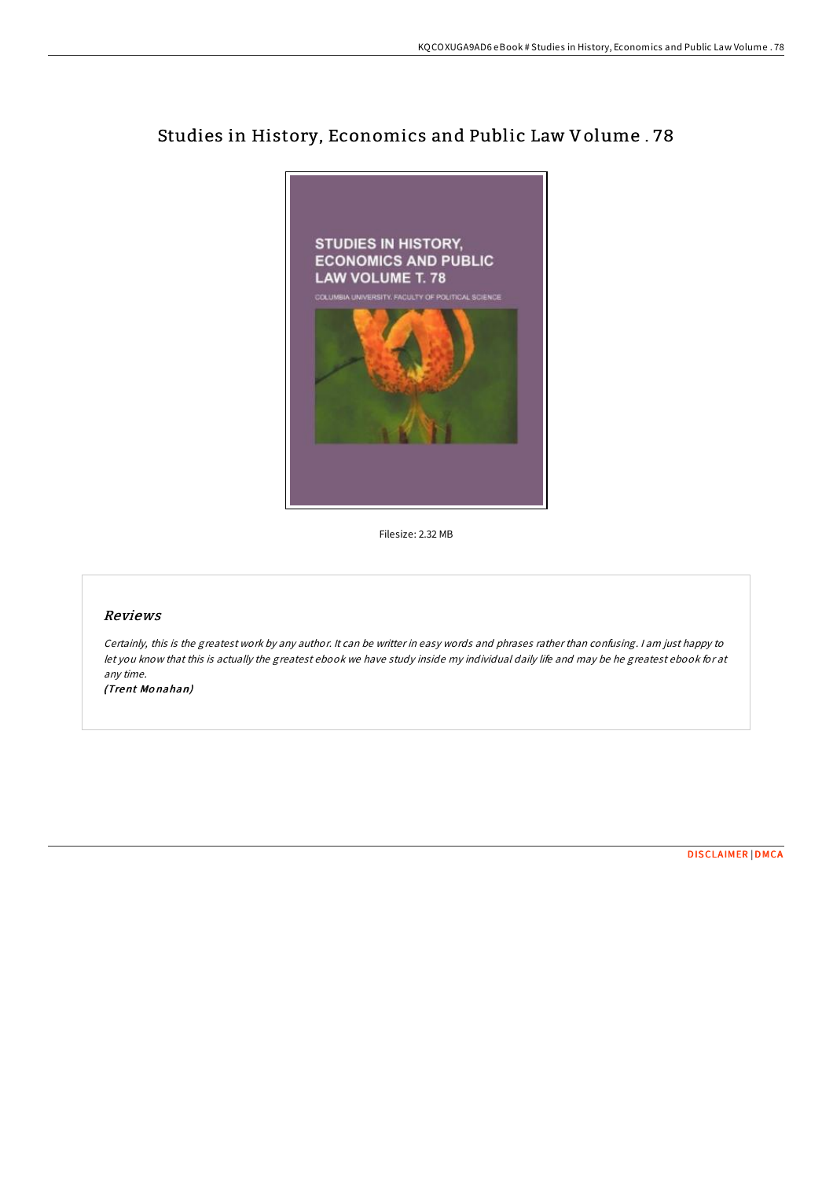## Studies in History, Economics and Public Law Volume . 78



Filesize: 2.32 MB

## Reviews

Certainly, this is the greatest work by any author. It can be writter in easy words and phrases rather than confusing. <sup>I</sup> am just happy to let you know that this is actually the greatest ebook we have study inside my individual daily life and may be he greatest ebook for at any time.

(Trent Mo nahan)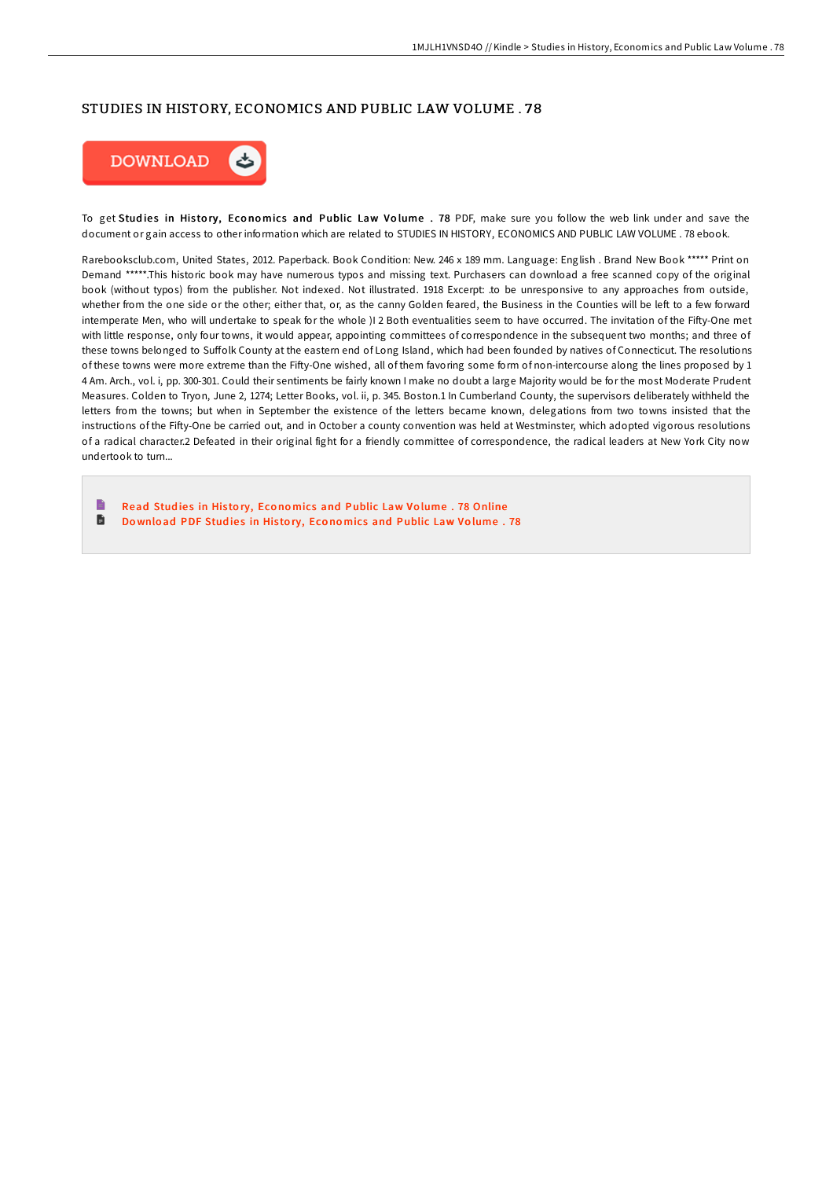## STUDIES IN HISTORY, ECONOMICS AND PUBLIC LAW VOLUME . 78



To get Studies in History, Economics and Public Law Volume . 78 PDF, make sure you follow the web link under and save the document or gain access to other information which are related to STUDIES IN HISTORY, ECONOMICS AND PUBLIC LAW VOLUME . 78 ebook.

Rarebooksclub.com, United States, 2012. Paperback. Book Condition: New. 246 x 189 mm. Language: English . Brand New Book \*\*\*\*\* Print on Demand \*\*\*\*\*.This historic book may have numerous typos and missing text. Purchasers can download a free scanned copy of the original book (without typos) from the publisher. Not indexed. Not illustrated. 1918 Excerpt: .to be unresponsive to any approaches from outside, whether from the one side or the other; either that, or, as the canny Golden feared, the Business in the Counties will be left to a few forward intemperate Men, who will undertake to speak for the whole )I 2 Both eventualities seem to have occurred. The invitation of the FiHy-One met with little response, only four towns, it would appear, appointing committees of correspondence in the subsequent two months; and three of these towns belonged to Suffolk County at the eastern end of Long Island, which had been founded by natives of Connecticut. The resolutions of these towns were more extreme than the FiHy-One wished, all of them favoring some form of non-intercourse along the lines proposed by 1 4 Am. Arch., vol. i, pp. 300-301. Could their sentiments be fairly known I make no doubt a large Majority would be for the most Moderate Prudent Measures. Colden to Tryon, June 2, 1274; Letter Books, vol. ii, p. 345. Boston.1 In Cumberland County, the supervisors deliberately withheld the letters from the towns; but when in September the existence of the letters became known, delegations from two towns insisted that the instructions of the FiHy-One be carried out, and in October a county convention was held at Westminster, which adopted vigorous resolutions of a radical character.2 Defeated in their original fight for a friendly committee of correspondence, the radical leaders at New York City now undertook to turn...

B Read Studies in History, Economics and Public Law Volume . 78 [Online](http://almighty24.tech/studies-in-history-economics-and-public-law-volu-10.html) D Download PDF Studies in History, Economics and [Public](http://almighty24.tech/studies-in-history-economics-and-public-law-volu-10.html) Law Volume. 78